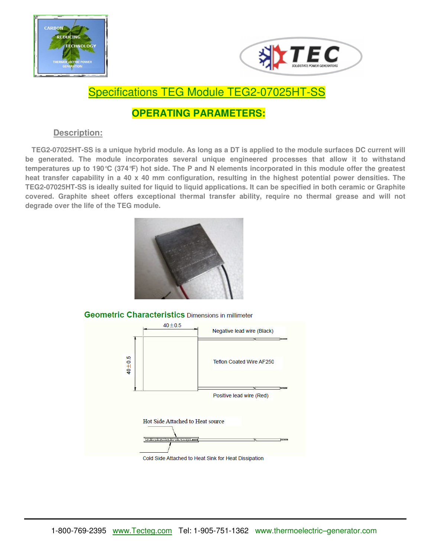



## Specifications TEG Module TEG2-07025HT-SS

## **OPERATING PARAMETERS:**

## **Description:**

 **TEG2-07025HT-SS is a unique hybrid module. As long as a DT is applied to the module surfaces DC current will be generated. The module incorporates several unique engineered processes that allow it to withstand temperatures up to 190°C (374°F) hot side. The P and N elements incorporated in this module offer the greatest heat transfer capability in a 40 x 40 mm configuration, resulting in the highest potential power densities. The TEG2-07025HT-SS is ideally suited for liquid to liquid applications. It can be specified in both ceramic or Graphite covered. Graphite sheet offers exceptional thermal transfer ability, require no thermal grease and will not degrade over the life of the TEG module.**



**Geometric Characteristics Dimensions in millimeter**